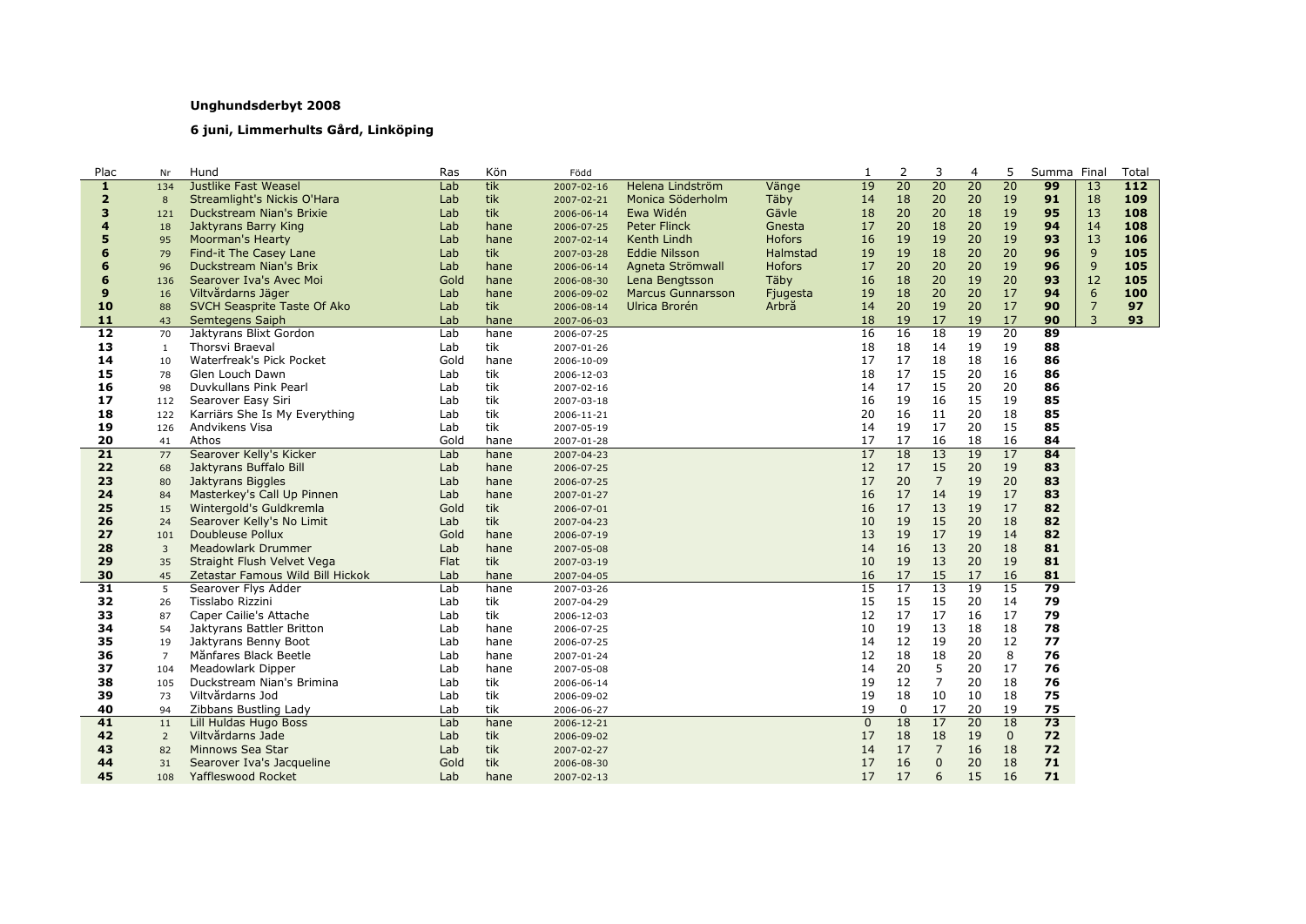## **Unghundsderbyt 2008**

## **6 juni, Limmerhults Gård, Linköping**

| Plac            | Nr             | Hund                             | Ras  | Kön  | Född       |                          |               | 1               | 2               | 3               | 4               | 5            | Summa | Final          | Total            |
|-----------------|----------------|----------------------------------|------|------|------------|--------------------------|---------------|-----------------|-----------------|-----------------|-----------------|--------------|-------|----------------|------------------|
| 1               | 134            | <b>Justlike Fast Weasel</b>      | Lab  | tik  | 2007-02-16 | Helena Lindström         | Vänge         | 19              | 20              | 20              | 20              | 20           | 99    | 13             | $\overline{112}$ |
| $\overline{2}$  | 8              | Streamlight's Nickis O'Hara      | Lab  | tik  | 2007-02-21 | Monica Söderholm         | Täby          | 14              | 18              | 20              | 20              | 19           | 91    | 18             | 109              |
| 3               | 121            | Duckstream Nian's Brixie         | Lab  | tik  | 2006-06-14 | Ewa Widén                | Gävle         | 18              | 20              | 20              | 18              | 19           | 95    | 13             | 108              |
| 4               | 18             | Jaktyrans Barry King             | Lab  | hane | 2006-07-25 | <b>Peter Flinck</b>      | Gnesta        | 17              | 20              | 18              | 20              | 19           | 94    | 14             | 108              |
| 5               | 95             | <b>Moorman's Hearty</b>          | Lab  | hane | 2007-02-14 | Kenth Lindh              | <b>Hofors</b> | 16              | 19              | 19              | 20              | 19           | 93    | 13             | 106              |
| 6               | 79             | Find-it The Casey Lane           | Lab  | tik  | 2007-03-28 | <b>Eddie Nilsson</b>     | Halmstad      | 19              | 19              | 18              | 20              | 20           | 96    | 9              | 105              |
| 6               | 96             | Duckstream Nian's Brix           | Lab  | hane | 2006-06-14 | Agneta Strömwall         | <b>Hofors</b> | 17              | 20              | 20              | 20              | 19           | 96    | 9              | 105              |
| 6               | 136            | Searover Iva's Avec Moi          | Gold | hane | 2006-08-30 | Lena Bengtsson           | Täby          | 16              | 18              | 20              | 19              | 20           | 93    | 12             | 105              |
| 9               | 16             | Viltvårdarns Jäger               | Lab  | hane | 2006-09-02 | <b>Marcus Gunnarsson</b> | Fjugesta      | 19              | 18              | 20              | 20              | 17           | 94    | 6              | 100              |
| 10              | 88             | SVCH Seasprite Taste Of Ako      | Lab  | tik  | 2006-08-14 | Ulrica Brorén            | Arbrå         | 14              | 20              | 19              | 20              | 17           | 90    | $\overline{7}$ | 97               |
| 11              | 43             | Semtegens Saiph                  | Lab  | hane | 2007-06-03 |                          |               | 18              | 19              | 17              | 19              | 17           | 90    | $\overline{3}$ | 93               |
| $\overline{12}$ | 70             | Jaktyrans Blixt Gordon           | Lab  | hane | 2006-07-25 |                          |               | 16              | 16              | 18              | 19              | 20           | 89    |                |                  |
| 13              | $\mathbf{1}$   | Thorsvi Braeval                  | Lab  | tik  | 2007-01-26 |                          |               | 18              | 18              | 14              | 19              | 19           | 88    |                |                  |
| 14              | 10             | Waterfreak's Pick Pocket         | Gold | hane | 2006-10-09 |                          |               | 17              | 17              | 18              | 18              | 16           | 86    |                |                  |
| 15              | 78             | Glen Louch Dawn                  | Lab  | tik  | 2006-12-03 |                          |               | 18              | 17              | 15              | 20              | 16           | 86    |                |                  |
| 16              | 98             | Duvkullans Pink Pearl            | Lab  | tik  | 2007-02-16 |                          |               | 14              | 17              | 15              | 20              | 20           | 86    |                |                  |
| 17              | 112            | Searover Easy Siri               | Lab  | tik  | 2007-03-18 |                          |               | 16              | 19              | 16              | 15              | 19           | 85    |                |                  |
| 18              | 122            | Karriärs She Is My Everything    | Lab  | tik  | 2006-11-21 |                          |               | 20              | 16              | 11              | 20              | 18           | 85    |                |                  |
| 19              | 126            | Andvikens Visa                   | Lab  | tik  | 2007-05-19 |                          |               | 14              | 19              | 17              | 20              | 15           | 85    |                |                  |
| 20              | 41             | Athos                            | Gold | hane | 2007-01-28 |                          |               | 17              | 17              | 16              | 18              | 16           | 84    |                |                  |
| $\overline{21}$ | 77             | Searover Kelly's Kicker          | Lab  | hane | 2007-04-23 |                          |               | 17              | 18              | 13              | 19              | 17           | 84    |                |                  |
| 22              | 68             | Jaktyrans Buffalo Bill           | Lab  | hane | 2006-07-25 |                          |               | 12              | 17              | 15              | 20              | 19           | 83    |                |                  |
| 23              | 80             | Jaktyrans Biggles                | Lab  | hane | 2006-07-25 |                          |               | 17              | 20              | $\overline{7}$  | 19              | 20           | 83    |                |                  |
| 24              | 84             | Masterkey's Call Up Pinnen       | Lab  | hane | 2007-01-27 |                          |               | 16              | 17              | 14              | 19              | 17           | 83    |                |                  |
| 25              | 15             | Wintergold's Guldkremla          | Gold | tik  | 2006-07-01 |                          |               | 16              | 17              | 13              | 19              | 17           | 82    |                |                  |
| 26              | 24             | Searover Kelly's No Limit        | Lab  | tik  | 2007-04-23 |                          |               | 10              | 19              | 15              | 20              | 18           | 82    |                |                  |
| 27              | 101            | <b>Doubleuse Pollux</b>          | Gold | hane | 2006-07-19 |                          |               | 13              | 19              | 17              | 19              | 14           | 82    |                |                  |
| 28              | $\overline{3}$ | Meadowlark Drummer               | Lab  | hane | 2007-05-08 |                          |               | 14              | 16              | 13              | 20              | 18           | 81    |                |                  |
| 29              | 35             | Straight Flush Velvet Vega       | Flat | tik  | 2007-03-19 |                          |               | 10              | 19              | 13              | 20              | 19           | 81    |                |                  |
| 30              | 45             | Zetastar Famous Wild Bill Hickok | Lab  | hane | 2007-04-05 |                          |               | 16              | 17              | 15              | 17              | 16           | 81    |                |                  |
| 31              | 5              | Searover Flys Adder              | Lab  | hane | 2007-03-26 |                          |               | $\overline{15}$ | $\overline{17}$ | $\overline{13}$ | $\overline{19}$ | 15           | 79    |                |                  |
| 32              | 26             | Tisslabo Rizzini                 | Lab  | tik  | 2007-04-29 |                          |               | 15              | 15              | 15              | 20              | 14           | 79    |                |                  |
| 33              | 87             | Caper Cailie's Attache           | Lab  | tik  | 2006-12-03 |                          |               | 12              | 17              | 17              | 16              | 17           | 79    |                |                  |
| 34              | 54             | Jaktyrans Battler Britton        | Lab  | hane | 2006-07-25 |                          |               | 10              | 19              | 13              | 18              | 18           | 78    |                |                  |
| 35              | 19             | Jaktyrans Benny Boot             | Lab  | hane | 2006-07-25 |                          |               | 14              | 12              | 19              | 20              | 12           | 77    |                |                  |
| 36              | $\overline{7}$ | Månfares Black Beetle            | Lab  | hane | 2007-01-24 |                          |               | 12              | 18              | 18              | 20              | 8            | 76    |                |                  |
| 37              | 104            | <b>Meadowlark Dipper</b>         | Lab  | hane | 2007-05-08 |                          |               | 14              | 20              | 5               | 20              | 17           | 76    |                |                  |
| 38              | 105            | Duckstream Nian's Brimina        | Lab  | tik  | 2006-06-14 |                          |               | 19              | 12              | $\overline{7}$  | 20              | 18           | 76    |                |                  |
| 39              | 73             | Viltvårdarns Jod                 | Lab  | tik  | 2006-09-02 |                          |               | 19              | 18              | 10              | 10              | 18           | 75    |                |                  |
| 40              | 94             | Zibbans Bustling Lady            | Lab  | tik  | 2006-06-27 |                          |               | 19              | $\mathbf 0$     | 17              | 20              | 19           | 75    |                |                  |
| 41              | 11             | Lill Huldas Hugo Boss            | Lab  | hane | 2006-12-21 |                          |               | $\overline{0}$  | 18              | 17              | $\overline{20}$ | 18           | 73    |                |                  |
| 42              | $\overline{2}$ | Viltvårdarns Jade                | Lab  | tik  | 2006-09-02 |                          |               | 17              | 18              | 18              | 19              | $\mathbf{0}$ | 72    |                |                  |
| 43              | 82             | Minnows Sea Star                 | Lab  | tik  | 2007-02-27 |                          |               | 14              | 17              | $\overline{7}$  | 16              | 18           | 72    |                |                  |
| 44              | 31             | Searover Iva's Jacqueline        | Gold | tik  | 2006-08-30 |                          |               | 17              | 16              | $\Omega$        | 20              | 18           | 71    |                |                  |
| 45              | 108            | Yaffleswood Rocket               | Lab  | hane | 2007-02-13 |                          |               | 17              | 17              | 6               | 15              | 16           | 71    |                |                  |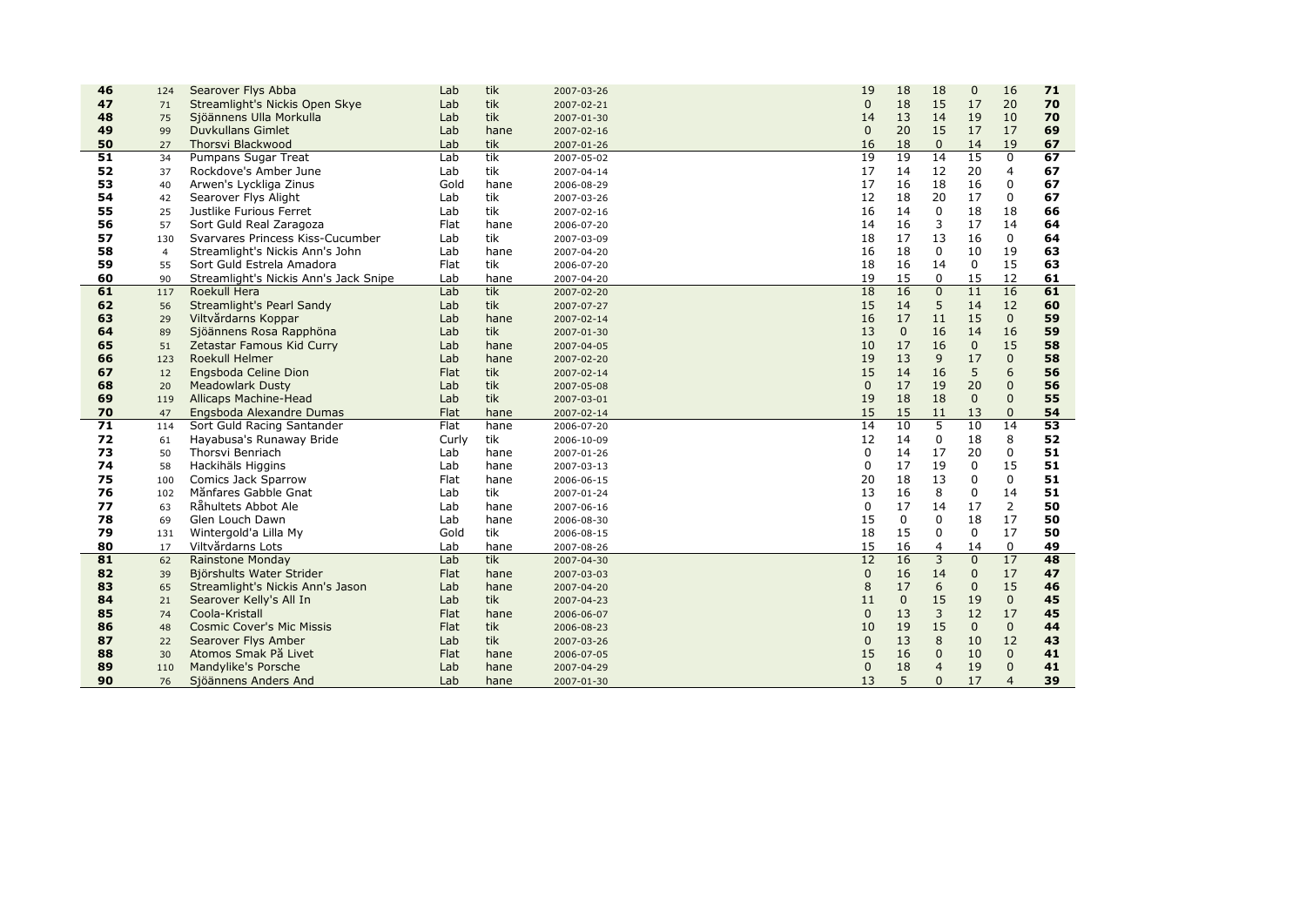| 46              | 124            | Searover Flys Abba                    | Lab         | tik  | 2007-03-26 | 19              | 18          | 18             | $\mathbf 0$     | 16             | 71 |
|-----------------|----------------|---------------------------------------|-------------|------|------------|-----------------|-------------|----------------|-----------------|----------------|----|
| 47              | 71             | Streamlight's Nickis Open Skye        | Lab         | tik  | 2007-02-21 | $\Omega$        | 18          | 15             | 17              | 20             | 70 |
| 48              | 75             | Sjöännens Ulla Morkulla               | Lab         | tik  | 2007-01-30 | 14              | 13          | 14             | 19              | 10             | 70 |
| 49              | 99             | Duvkullans Gimlet                     | Lab         | hane | 2007-02-16 | $\mathbf{0}$    | 20          | 15             | 17              | 17             | 69 |
| 50              | 27             | Thorsvi Blackwood                     | Lab         | tik  | 2007-01-26 | 16              | 18          | $\mathbf 0$    | 14              | 19             | 67 |
| $\overline{51}$ | 34             | Pumpans Sugar Treat                   | Lab         | tik  | 2007-05-02 | 19              | 19          | 14             | $\overline{15}$ | $\mathbf 0$    | 67 |
| 52              | 37             | Rockdove's Amber June                 | Lab         | tik  | 2007-04-14 | 17              | 14          | 12             | 20              | 4              | 67 |
| 53              | 40             | Arwen's Lyckliga Zinus                | Gold        | hane | 2006-08-29 | 17              | 16          | 18             | 16              | $\mathbf 0$    | 67 |
| 54              | 42             | Searover Flys Alight                  | Lab         | tik  | 2007-03-26 | 12              | 18          | 20             | 17              | $\mathbf 0$    | 67 |
| 55              | 25             | Justlike Furious Ferret               | Lab         | tik  | 2007-02-16 | 16              | 14          | $\mathbf 0$    | 18              | 18             | 66 |
| 56              | 57             | Sort Guld Real Zaragoza               | Flat        | hane | 2006-07-20 | 14              | 16          | 3              | 17              | 14             | 64 |
| 57              | 130            | Svarvares Princess Kiss-Cucumber      | Lab         | tik  | 2007-03-09 | 18              | 17          | 13             | 16              | $\mathbf 0$    | 64 |
| 58              | $\overline{4}$ | Streamlight's Nickis Ann's John       | Lab         | hane | 2007-04-20 | 16              | 18          | $\Omega$       | 10              | 19             | 63 |
| 59              | 55             | Sort Guld Estrela Amadora             | Flat        | tik  | 2006-07-20 | 18              | 16          | 14             | 0               | 15             | 63 |
| 60              | 90             | Streamlight's Nickis Ann's Jack Snipe | Lab         | hane | 2007-04-20 | 19              | 15          | 0              | 15              | 12             | 61 |
| 61              | 117            | Roekull Hera                          | Lab         | tik  | 2007-02-20 | 18              | 16          | $\overline{0}$ | $\overline{11}$ | 16             | 61 |
| 62              | 56             | Streamlight's Pearl Sandy             | Lab         | tik  | 2007-07-27 | 15              | 14          | 5              | 14              | 12             | 60 |
| 63              | 29             | Viltvårdarns Koppar                   | Lab         | hane | 2007-02-14 | 16              | 17          | 11             | 15              | $\mathbf{0}$   | 59 |
| 64              | 89             | Sjöännens Rosa Rapphöna               | Lab         | tik  | 2007-01-30 | 13              | $\mathbf 0$ | 16             | 14              | 16             | 59 |
| 65              | 51             | Zetastar Famous Kid Curry             | Lab         | hane | 2007-04-05 | 10              | 17          | 16             | $\mathbf{0}$    | 15             | 58 |
| 66              | 123            | Roekull Helmer                        | Lab         | hane | 2007-02-20 | 19              | 13          | 9              | 17              | $\overline{0}$ | 58 |
| 67              | 12             | Engsboda Celine Dion                  | <b>Flat</b> | tik  | 2007-02-14 | 15              | 14          | 16             | 5               | 6              | 56 |
| 68              | 20             | <b>Meadowlark Dusty</b>               | Lab         | tik  | 2007-05-08 | $\Omega$        | 17          | 19             | 20              | $\overline{0}$ | 56 |
| 69              | 119            | Allicaps Machine-Head                 | Lab         | tik  | 2007-03-01 | 19              | 18          | 18             | $\mathbf{0}$    | $\mathbf{0}$   | 55 |
| 70              | 47             | Engsboda Alexandre Dumas              | Flat        | hane | 2007-02-14 | 15              | 15          | 11             | 13              | $\mathbf{0}$   | 54 |
| 71              | 114            | Sort Guld Racing Santander            | Flat        | hane | 2006-07-20 | 14              | 10          | 5              | 10              | 14             | 53 |
| 72              | 61             | Hayabusa's Runaway Bride              | Curly       | tik  | 2006-10-09 | 12              | 14          | 0              | 18              | 8              | 52 |
| 73              | 50             | Thorsvi Benriach                      | Lab         | hane | 2007-01-26 | $\Omega$        | 14          | 17             | 20              | $\mathbf 0$    | 51 |
| 74              | 58             | Hackihäls Higgins                     | Lab         | hane | 2007-03-13 | $\mathbf 0$     | 17          | 19             | 0               | 15             | 51 |
| 75              | 100            | Comics Jack Sparrow                   | Flat        | hane | 2006-06-15 | 20              | 18          | 13             | $\mathbf 0$     | $\mathbf 0$    | 51 |
| 76              | 102            | Månfares Gabble Gnat                  | Lab         | tik  | 2007-01-24 | 13              | 16          | 8              | 0               | 14             | 51 |
| 77              | 63             | Råhultets Abbot Ale                   | Lab         | hane | 2007-06-16 | $\Omega$        | 17          | 14             | 17              | $\overline{2}$ | 50 |
| 78              | 69             | Glen Louch Dawn                       | Lab         | hane | 2006-08-30 | 15              | $\mathbf 0$ | $\mathbf 0$    | 18              | 17             | 50 |
| 79              | 131            | Wintergold'a Lilla My                 | Gold        | tik  | 2006-08-15 | 18              | 15          | 0              | $\Omega$        | 17             | 50 |
| 80              | 17             | Viltvårdarns Lots                     | Lab         | hane | 2007-08-26 | 15              | 16          | 4              | 14              | 0              | 49 |
| 81              | 62             | <b>Rainstone Monday</b>               | Lab         | tik  | 2007-04-30 | $\overline{12}$ | 16          | $\overline{3}$ | $\overline{0}$  | 17             | 48 |
| 82              | 39             | Björshults Water Strider              | Flat        | hane | 2007-03-03 | $\mathbf{0}$    | 16          | 14             | $\mathbf{0}$    | 17             | 47 |
| 83              | 65             | Streamlight's Nickis Ann's Jason      | Lab         | hane | 2007-04-20 | 8               | 17          | 6              | $\mathbf 0$     | 15             | 46 |
| 84              | 21             | Searover Kelly's All In               | Lab         | tik  | 2007-04-23 | 11              | $\mathbf 0$ | 15             | 19              | $\mathbf{0}$   | 45 |
| 85              | 74             | Coola-Kristall                        | <b>Flat</b> | hane | 2006-06-07 | $\mathbf{0}$    | 13          | 3              | 12              | 17             | 45 |
| 86              | 48             | <b>Cosmic Cover's Mic Missis</b>      | Flat        | tik  | 2006-08-23 | 10              | 19          | 15             | $\Omega$        | $\mathbf{0}$   | 44 |
| 87              | 22             | Searover Flys Amber                   | Lab         | tik  | 2007-03-26 | $\Omega$        | 13          | 8              | 10              | 12             | 43 |
| 88              | 30             | Atomos Smak På Livet                  | Flat        | hane | 2006-07-05 | 15              | 16          | 0              | 10              | $\mathbf 0$    | 41 |
| 89              | 110            | Mandylike's Porsche                   | Lab         | hane | 2007-04-29 | $\mathbf 0$     | 18          | $\overline{4}$ | 19              | $\Omega$       | 41 |
| 90              | 76             | Sjöännens Anders And                  | Lab         | hane | 2007-01-30 | 13              | 5           | $\mathbf{0}$   | 17              | $\overline{4}$ | 39 |